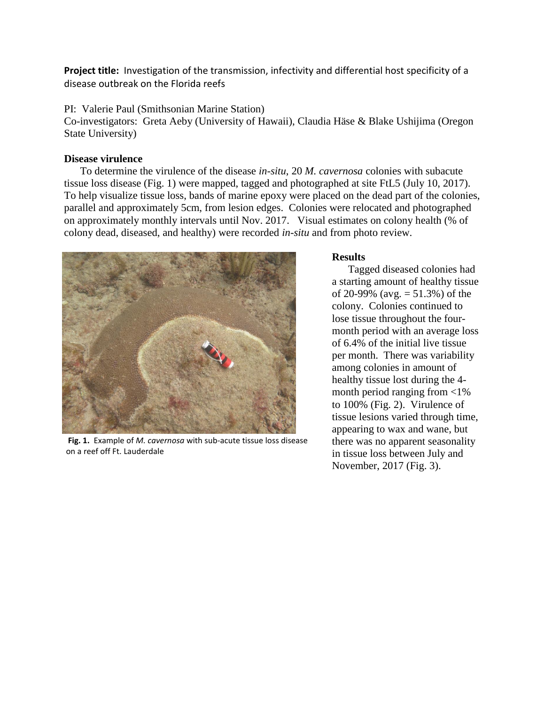**Project title:** Investigation of the transmission, infectivity and differential host specificity of a disease outbreak on the Florida reefs

PI: Valerie Paul (Smithsonian Marine Station)

Co-investigators: Greta Aeby (University of Hawaii), Claudia Häse & Blake Ushijima (Oregon State University)

## **Disease virulence**

To determine the virulence of the disease *in-situ*, 20 *M. cavernosa* colonies with subacute tissue loss disease (Fig. 1) were mapped, tagged and photographed at site FtL5 (July 10, 2017). To help visualize tissue loss, bands of marine epoxy were placed on the dead part of the colonies, parallel and approximately 5cm, from lesion edges. Colonies were relocated and photographed on approximately monthly intervals until Nov. 2017. Visual estimates on colony health (% of colony dead, diseased, and healthy) were recorded *in-situ* and from photo review.



**Fig. 1.** Example of *M. cavernosa* with sub-acute tissue loss disease on a reef off Ft. Lauderdale

## **Results**

Tagged diseased colonies had a starting amount of healthy tissue of 20-99% (avg.  $= 51.3\%$ ) of the colony. Colonies continued to lose tissue throughout the fourmonth period with an average loss of 6.4% of the initial live tissue per month. There was variability among colonies in amount of healthy tissue lost during the 4 month period ranging from <1% to 100% (Fig. 2). Virulence of tissue lesions varied through time, appearing to wax and wane, but there was no apparent seasonality in tissue loss between July and November, 2017 (Fig. 3).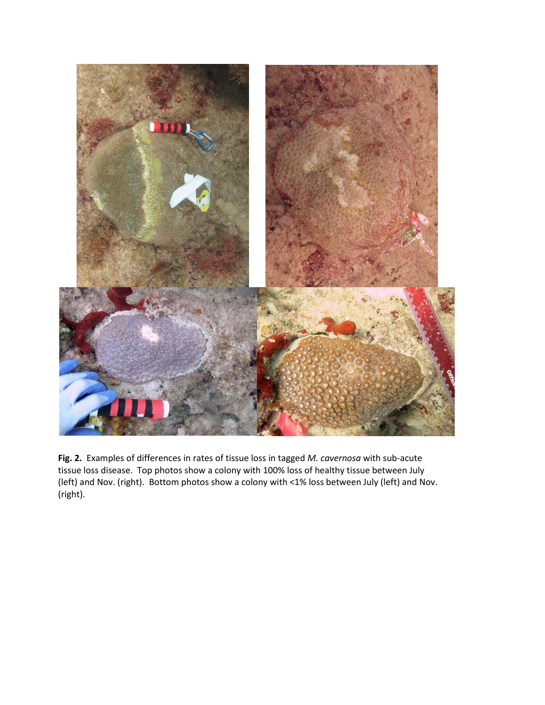

**Fig. 2.** Examples of differences in rates of tissue loss in tagged *M. cavernosa* with sub-acute tissue loss disease. Top photos show a colony with 100% loss of healthy tissue between July (left) and Nov. (right). Bottom photos show a colony with <1% loss between July (left) and Nov. (right).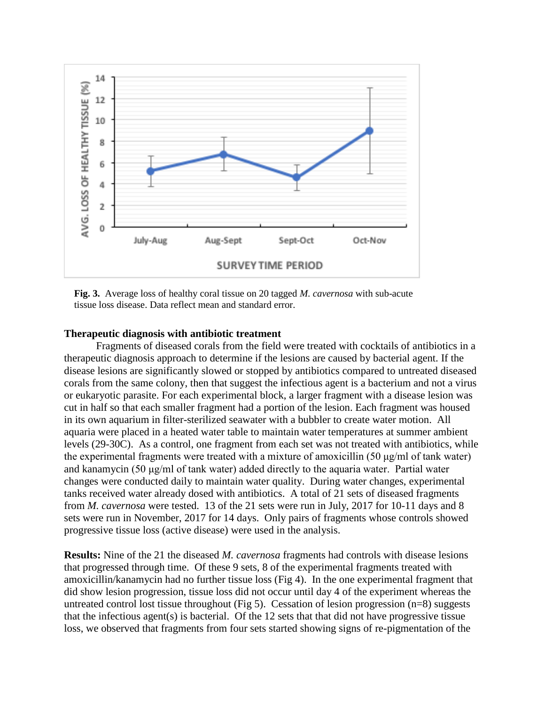

**Fig. 3.** Average loss of healthy coral tissue on 20 tagged *M. cavernosa* with sub-acute tissue loss disease. Data reflect mean and standard error.

## **Therapeutic diagnosis with antibiotic treatment**

Fragments of diseased corals from the field were treated with cocktails of antibiotics in a therapeutic diagnosis approach to determine if the lesions are caused by bacterial agent. If the disease lesions are significantly slowed or stopped by antibiotics compared to untreated diseased corals from the same colony, then that suggest the infectious agent is a bacterium and not a virus or eukaryotic parasite. For each experimental block, a larger fragment with a disease lesion was cut in half so that each smaller fragment had a portion of the lesion. Each fragment was housed in its own aquarium in filter-sterilized seawater with a bubbler to create water motion. All aquaria were placed in a heated water table to maintain water temperatures at summer ambient levels (29-30C). As a control, one fragment from each set was not treated with antibiotics, while the experimental fragments were treated with a mixture of amoxicillin (50 μg/ml of tank water) and kanamycin (50 μg/ml of tank water) added directly to the aquaria water. Partial water changes were conducted daily to maintain water quality. During water changes, experimental tanks received water already dosed with antibiotics. A total of 21 sets of diseased fragments from *M. cavernosa* were tested. 13 of the 21 sets were run in July, 2017 for 10-11 days and 8 sets were run in November, 2017 for 14 days. Only pairs of fragments whose controls showed progressive tissue loss (active disease) were used in the analysis.

**Results:** Nine of the 21 the diseased *M. cavernosa* fragments had controls with disease lesions that progressed through time. Of these 9 sets, 8 of the experimental fragments treated with amoxicillin/kanamycin had no further tissue loss (Fig 4). In the one experimental fragment that did show lesion progression, tissue loss did not occur until day 4 of the experiment whereas the untreated control lost tissue throughout (Fig 5). Cessation of lesion progression  $(n=8)$  suggests that the infectious agent(s) is bacterial. Of the 12 sets that that did not have progressive tissue loss, we observed that fragments from four sets started showing signs of re-pigmentation of the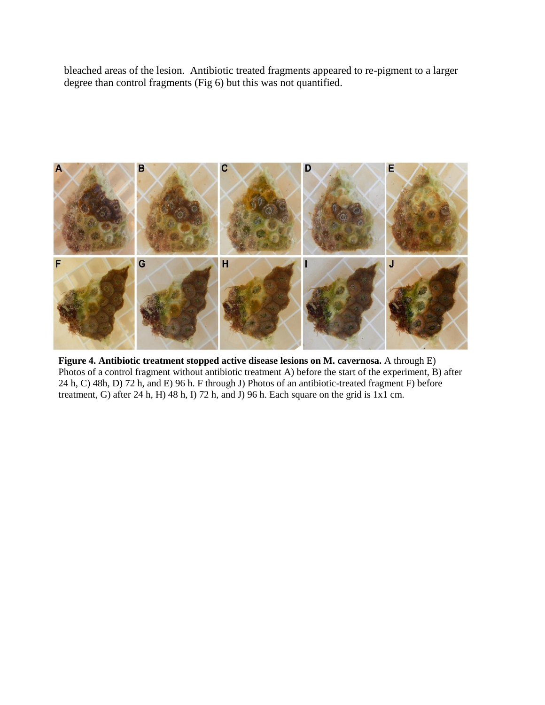bleached areas of the lesion. Antibiotic treated fragments appeared to re-pigment to a larger degree than control fragments (Fig 6) but this was not quantified.



**Figure 4. Antibiotic treatment stopped active disease lesions on M. cavernosa.** A through E) Photos of a control fragment without antibiotic treatment A) before the start of the experiment, B) after 24 h, C) 48h, D) 72 h, and E) 96 h. F through J) Photos of an antibiotic-treated fragment F) before treatment, G) after 24 h, H) 48 h, I) 72 h, and J) 96 h. Each square on the grid is  $1x1$  cm.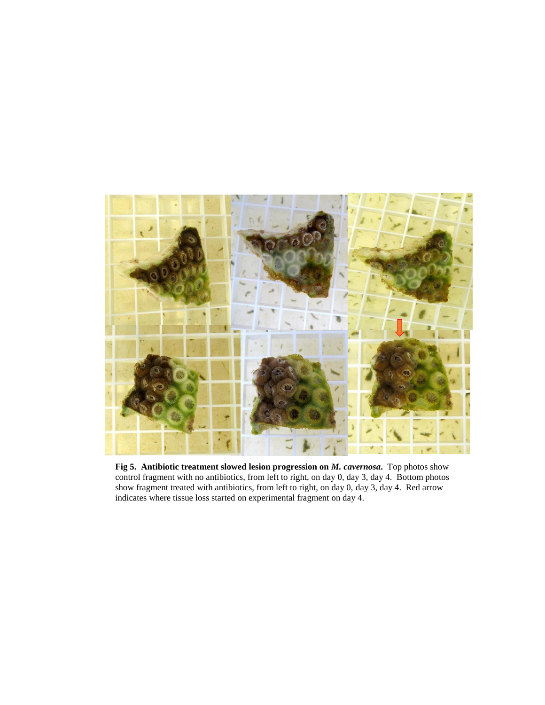

**Fig 5. Antibiotic treatment slowed lesion progression on** *M. cavernosa***.** Top photos show control fragment with no antibiotics, from left to right, on day 0, day 3, day 4. Bottom photos show fragment treated with antibiotics, from left to right, on day 0, day 3, day 4. Red arrow indicates where tissue loss started on experimental fragment on day 4.